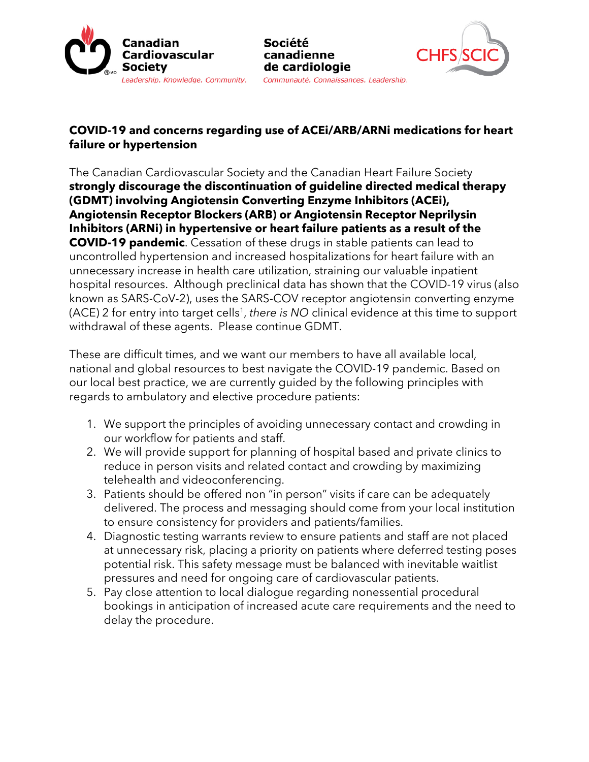



## **COVID-19 and concerns regarding use of ACEi/ARB/ARNi medications for heart failure or hypertension**

Société

canadienne de cardiologie

The Canadian Cardiovascular Society and the Canadian Heart Failure Society **strongly discourage the discontinuation of guideline directed medical therapy (GDMT) involving Angiotensin Converting Enzyme Inhibitors (ACEi), Angiotensin Receptor Blockers (ARB) or Angiotensin Receptor Neprilysin Inhibitors (ARNi) in hypertensive or heart failure patients as a result of the COVID-19 pandemic**. Cessation of these drugs in stable patients can lead to uncontrolled hypertension and increased hospitalizations for heart failure with an unnecessary increase in health care utilization, straining our valuable inpatient hospital resources. Although preclinical data has shown that the COVID-19 virus (also known as SARS-CoV-2), uses the SARS-COV receptor angiotensin converting enzyme (ACE) 2 for entry into target cells<sup>1</sup>, there is NO clinical evidence at this time to support withdrawal of these agents. Please continue GDMT.

These are difficult times, and we want our members to have all available local, national and global resources to best navigate the COVID-19 pandemic. Based on our local best practice, we are currently guided by the following principles with regards to ambulatory and elective procedure patients:

- 1. We support the principles of avoiding unnecessary contact and crowding in our workflow for patients and staff.
- 2. We will provide support for planning of hospital based and private clinics to reduce in person visits and related contact and crowding by maximizing telehealth and videoconferencing.
- 3. Patients should be offered non "in person" visits if care can be adequately delivered. The process and messaging should come from your local institution to ensure consistency for providers and patients/families.
- 4. Diagnostic testing warrants review to ensure patients and staff are not placed at unnecessary risk, placing a priority on patients where deferred testing poses potential risk. This safety message must be balanced with inevitable waitlist pressures and need for ongoing care of cardiovascular patients.
- 5. Pay close attention to local dialogue regarding nonessential procedural bookings in anticipation of increased acute care requirements and the need to delay the procedure.